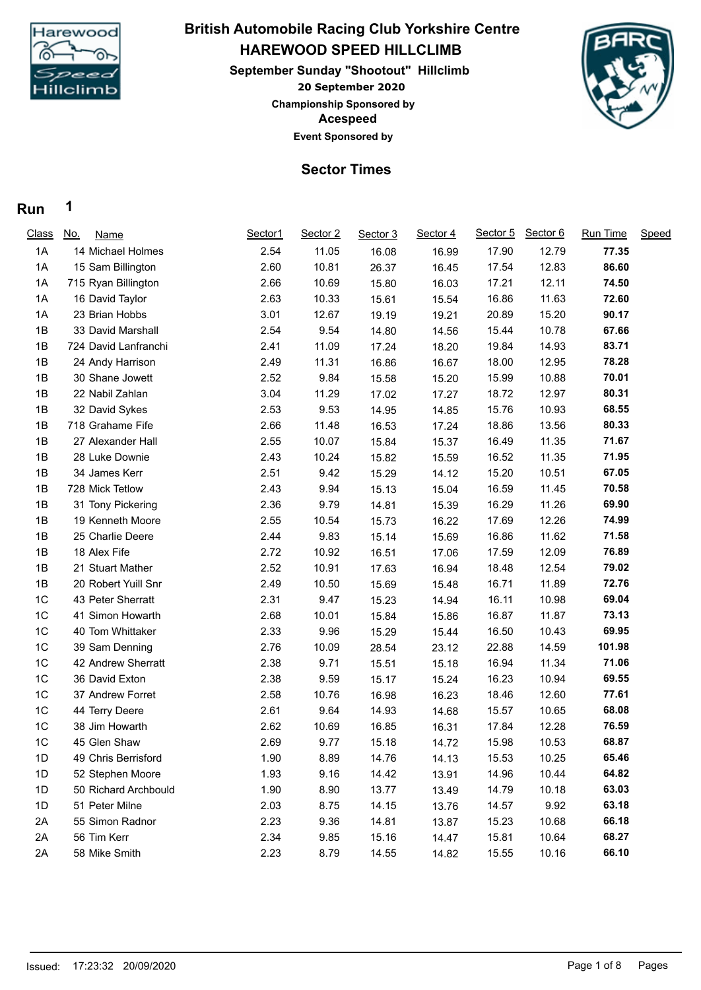

### **20 September 2020 HAREWOOD SPEED HILLCLIMB September Sunday "Shootout" Hillclimb British Automobile Racing Club Yorkshire Centre Championship Sponsored by**



#### **Sector Times**

**Acespeed Event Sponsored by**

#### **Run 1**

| <b>Class</b> | <u>No.</u><br>Name   | Sector1 | Sector 2 | Sector 3 | Sector 4 | Sector 5 | Sector 6 | Run Time | Speed |
|--------------|----------------------|---------|----------|----------|----------|----------|----------|----------|-------|
| 1A           | 14 Michael Holmes    | 2.54    | 11.05    | 16.08    | 16.99    | 17.90    | 12.79    | 77.35    |       |
| 1A           | 15 Sam Billington    | 2.60    | 10.81    | 26.37    | 16.45    | 17.54    | 12.83    | 86.60    |       |
| 1A           | 715 Ryan Billington  | 2.66    | 10.69    | 15.80    | 16.03    | 17.21    | 12.11    | 74.50    |       |
| 1A           | 16 David Taylor      | 2.63    | 10.33    | 15.61    | 15.54    | 16.86    | 11.63    | 72.60    |       |
| 1A           | 23 Brian Hobbs       | 3.01    | 12.67    | 19.19    | 19.21    | 20.89    | 15.20    | 90.17    |       |
| 1B           | 33 David Marshall    | 2.54    | 9.54     | 14.80    | 14.56    | 15.44    | 10.78    | 67.66    |       |
| 1B           | 724 David Lanfranchi | 2.41    | 11.09    | 17.24    | 18.20    | 19.84    | 14.93    | 83.71    |       |
| 1B           | 24 Andy Harrison     | 2.49    | 11.31    | 16.86    | 16.67    | 18.00    | 12.95    | 78.28    |       |
| 1B           | 30 Shane Jowett      | 2.52    | 9.84     | 15.58    | 15.20    | 15.99    | 10.88    | 70.01    |       |
| 1B           | 22 Nabil Zahlan      | 3.04    | 11.29    | 17.02    | 17.27    | 18.72    | 12.97    | 80.31    |       |
| 1B           | 32 David Sykes       | 2.53    | 9.53     | 14.95    | 14.85    | 15.76    | 10.93    | 68.55    |       |
| 1B           | 718 Grahame Fife     | 2.66    | 11.48    | 16.53    | 17.24    | 18.86    | 13.56    | 80.33    |       |
| 1B           | 27 Alexander Hall    | 2.55    | 10.07    | 15.84    | 15.37    | 16.49    | 11.35    | 71.67    |       |
| 1B           | 28 Luke Downie       | 2.43    | 10.24    | 15.82    | 15.59    | 16.52    | 11.35    | 71.95    |       |
| 1B           | 34 James Kerr        | 2.51    | 9.42     | 15.29    | 14.12    | 15.20    | 10.51    | 67.05    |       |
| 1B           | 728 Mick Tetlow      | 2.43    | 9.94     | 15.13    | 15.04    | 16.59    | 11.45    | 70.58    |       |
| 1B           | 31 Tony Pickering    | 2.36    | 9.79     | 14.81    | 15.39    | 16.29    | 11.26    | 69.90    |       |
| 1B           | 19 Kenneth Moore     | 2.55    | 10.54    | 15.73    | 16.22    | 17.69    | 12.26    | 74.99    |       |
| 1B           | 25 Charlie Deere     | 2.44    | 9.83     | 15.14    | 15.69    | 16.86    | 11.62    | 71.58    |       |
| 1B           | 18 Alex Fife         | 2.72    | 10.92    | 16.51    | 17.06    | 17.59    | 12.09    | 76.89    |       |
| 1B           | 21 Stuart Mather     | 2.52    | 10.91    | 17.63    | 16.94    | 18.48    | 12.54    | 79.02    |       |
| 1B           | 20 Robert Yuill Snr  | 2.49    | 10.50    | 15.69    | 15.48    | 16.71    | 11.89    | 72.76    |       |
| 1C           | 43 Peter Sherratt    | 2.31    | 9.47     | 15.23    | 14.94    | 16.11    | 10.98    | 69.04    |       |
| 1C           | 41 Simon Howarth     | 2.68    | 10.01    | 15.84    | 15.86    | 16.87    | 11.87    | 73.13    |       |
| 1C           | 40 Tom Whittaker     | 2.33    | 9.96     | 15.29    | 15.44    | 16.50    | 10.43    | 69.95    |       |
| 1C           | 39 Sam Denning       | 2.76    | 10.09    | 28.54    | 23.12    | 22.88    | 14.59    | 101.98   |       |
| 1C           | 42 Andrew Sherratt   | 2.38    | 9.71     | 15.51    | 15.18    | 16.94    | 11.34    | 71.06    |       |
| 1C           | 36 David Exton       | 2.38    | 9.59     | 15.17    | 15.24    | 16.23    | 10.94    | 69.55    |       |
| 1C           | 37 Andrew Forret     | 2.58    | 10.76    | 16.98    | 16.23    | 18.46    | 12.60    | 77.61    |       |
| 1C           | 44 Terry Deere       | 2.61    | 9.64     | 14.93    | 14.68    | 15.57    | 10.65    | 68.08    |       |
| 1C           | 38 Jim Howarth       | 2.62    | 10.69    | 16.85    | 16.31    | 17.84    | 12.28    | 76.59    |       |
| 1C           | 45 Glen Shaw         | 2.69    | 9.77     | 15.18    | 14.72    | 15.98    | 10.53    | 68.87    |       |
| 1D           | 49 Chris Berrisford  | 1.90    | 8.89     | 14.76    | 14.13    | 15.53    | 10.25    | 65.46    |       |
| 1D           | 52 Stephen Moore     | 1.93    | 9.16     | 14.42    | 13.91    | 14.96    | 10.44    | 64.82    |       |
| 1D           | 50 Richard Archbould | 1.90    | 8.90     | 13.77    | 13.49    | 14.79    | 10.18    | 63.03    |       |
| 1D           | 51 Peter Milne       | 2.03    | 8.75     | 14.15    | 13.76    | 14.57    | 9.92     | 63.18    |       |
| 2A           | 55 Simon Radnor      | 2.23    | 9.36     | 14.81    | 13.87    | 15.23    | 10.68    | 66.18    |       |
| 2A           | 56 Tim Kerr          | 2.34    | 9.85     | 15.16    | 14.47    | 15.81    | 10.64    | 68.27    |       |
| 2A           | 58 Mike Smith        | 2.23    | 8.79     | 14.55    | 14.82    | 15.55    | 10.16    | 66.10    |       |
|              |                      |         |          |          |          |          |          |          |       |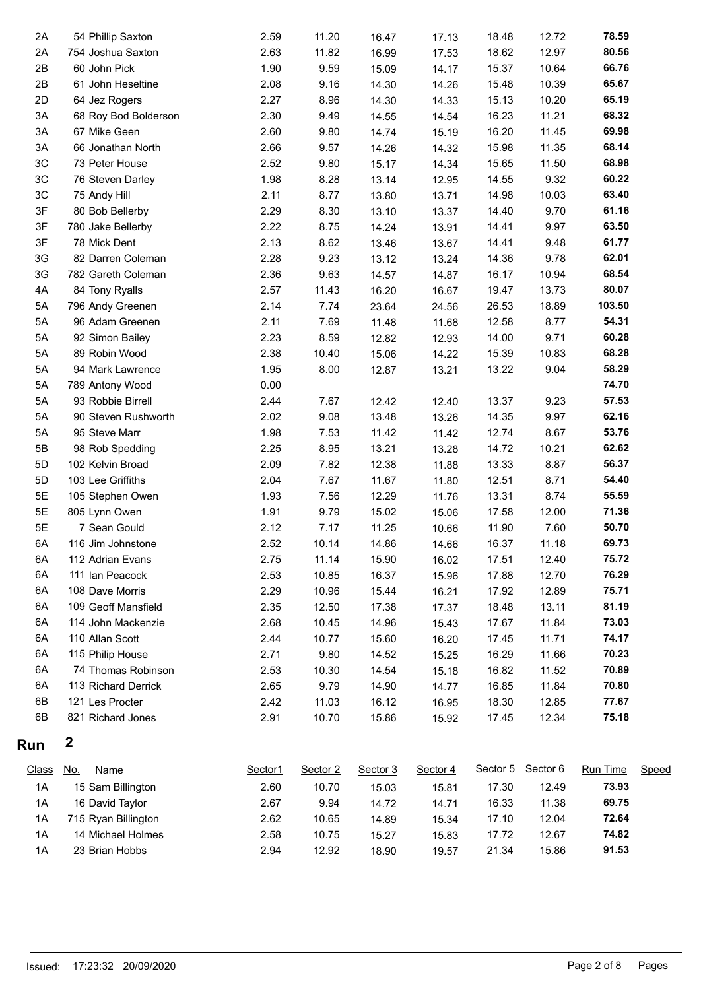| Run      | $\boldsymbol{2}$                |              |              |                |       |                |               |                |
|----------|---------------------------------|--------------|--------------|----------------|-------|----------------|---------------|----------------|
| 6B       | 821 Richard Jones               | 2.91         | 10.70        | 15.86          | 15.92 | 17.45          | 12.34         | 75.18          |
| 6B       | 121 Les Procter                 | 2.42         | 11.03        | 16.12          | 16.95 | 18.30          | 12.85         | 77.67          |
| 6A       | 113 Richard Derrick             | 2.65         | 9.79         | 14.90          | 14.77 | 16.85          | 11.84         | 70.80          |
| 6A       | 74 Thomas Robinson              | 2.53         | 10.30        | 14.54          | 15.18 | 16.82          | 11.52         | 70.89          |
| 6A       | 115 Philip House                | 2.71         | 9.80         | 14.52          | 15.25 | 16.29          | 11.66         | 70.23          |
| 6A       | 110 Allan Scott                 | 2.44         | 10.77        | 15.60          | 16.20 | 17.45          | 11.71         | 74.17          |
| 6A       | 114 John Mackenzie              | 2.68         | 10.45        | 14.96          | 15.43 | 17.67          | 11.84         | 73.03          |
| 6A       | 109 Geoff Mansfield             | 2.35         | 12.50        | 17.38          | 17.37 | 18.48          | 13.11         | 81.19          |
| 6A       | 108 Dave Morris                 | 2.29         | 10.96        | 15.44          | 16.21 | 17.92          | 12.89         | 75.71          |
| 6A       | 111 Ian Peacock                 | 2.53         | 10.85        | 16.37          | 15.96 | 17.88          | 12.70         | 76.29          |
| 6A       | 112 Adrian Evans                | 2.75         | 11.14        | 15.90          | 16.02 | 17.51          | 12.40         | 75.72          |
| 6A       | 116 Jim Johnstone               | 2.52         | 10.14        | 14.86          | 14.66 | 16.37          | 11.18         | 69.73          |
| 5E       | 7 Sean Gould                    | 2.12         | 7.17         | 11.25          | 10.66 | 11.90          | 7.60          | 50.70          |
| 5E       | 805 Lynn Owen                   | 1.91         | 9.79         | 15.02          | 15.06 | 17.58          | 12.00         | 71.36          |
| 5E       | 105 Stephen Owen                | 1.93         | 7.56         | 12.29          | 11.76 | 13.31          | 8.74          | 55.59          |
| 5D       | 103 Lee Griffiths               | 2.04         | 7.67         | 11.67          | 11.80 | 12.51          | 8.71          | 54.40          |
| 5D       | 102 Kelvin Broad                | 2.09         | 7.82         | 12.38          | 11.88 | 13.33          | 8.87          | 56.37          |
| 5B       | 98 Rob Spedding                 | 2.25         | 8.95         | 13.21          | 13.28 | 14.72          | 10.21         | 62.62          |
| 5A       | 95 Steve Marr                   | 1.98         | 7.53         | 11.42          | 11.42 | 12.74          | 8.67          | 53.76          |
| 5A       | 90 Steven Rushworth             | 2.02         | 9.08         | 13.48          | 13.26 | 14.35          | 9.97          | 62.16          |
| 5A       | 93 Robbie Birrell               | 2.44         | 7.67         | 12.42          | 12.40 | 13.37          | 9.23          | 57.53          |
| 5A       | 789 Antony Wood                 | 0.00         |              |                |       |                |               | 74.70          |
| 5A       | 94 Mark Lawrence                | 1.95         | 8.00         | 12.87          | 13.21 | 13.22          | 9.04          | 58.29          |
| 5A       | 89 Robin Wood                   | 2.38         | 10.40        | 15.06          | 14.22 | 15.39          | 10.83         | 68.28          |
| 5A       | 92 Simon Bailey                 | 2.23         | 8.59         | 12.82          | 12.93 | 14.00          | 9.71          | 60.28          |
| 5A       | 96 Adam Greenen                 | 2.11         | 7.69         | 11.48          | 11.68 | 12.58          | 8.77          | 54.31          |
| 5A       | 796 Andy Greenen                | 2.14         | 7.74         | 23.64          | 24.56 | 26.53          | 18.89         | 103.50         |
| 4A       | 84 Tony Ryalls                  | 2.57         | 11.43        | 16.20          | 16.67 | 19.47          | 13.73         | 80.07          |
|          | 782 Gareth Coleman              | 2.36         | 9.63         | 14.57          | 14.87 | 16.17          | 10.94         |                |
| 3G       |                                 |              |              |                | 13.24 |                |               | 68.54          |
| 3G       | 82 Darren Coleman               | 2.28         | 9.23         | 13.12          | 13.67 | 14.36          | 9.78          | 62.01          |
| 3F       | 78 Mick Dent                    | 2.13         | 8.62         | 13.46          | 13.91 | 14.41          | 9.48          | 61.77          |
| 3F       | 780 Jake Bellerby               | 2.22         | 8.75         | 14.24          | 13.37 | 14.41          | 9.97          | 63.50          |
| 3F       | 75 Andy Hill<br>80 Bob Bellerby | 2.11<br>2.29 | 8.30         | 13.80<br>13.10 | 13.71 | 14.98<br>14.40 | 10.03<br>9.70 | 61.16          |
| 3C<br>3C | 76 Steven Darley                | 1.98         | 8.28<br>8.77 | 13.14          | 12.95 | 14.55          | 9.32          | 60.22<br>63.40 |
| 3C       | 73 Peter House                  | 2.52         | 9.80         | 15.17          | 14.34 | 15.65          | 11.50         | 68.98          |
| 3A       | 66 Jonathan North               | 2.66         | 9.57         | 14.26          | 14.32 | 15.98          | 11.35         | 68.14          |
| 3A       | 67 Mike Geen                    | 2.60         | 9.80         | 14.74          | 15.19 | 16.20          | 11.45         | 69.98          |
| 3A       | 68 Roy Bod Bolderson            | 2.30         | 9.49         | 14.55          | 14.54 | 16.23          | 11.21         | 68.32          |
| 2D       | 64 Jez Rogers                   | 2.27         | 8.96         | 14.30          | 14.33 | 15.13          | 10.20         | 65.19          |
| 2B       | 61 John Heseltine               | 2.08         | 9.16         | 14.30          | 14.26 | 15.48          | 10.39         | 65.67          |
| 2B       | 60 John Pick                    | 1.90         | 9.59         | 15.09          | 14.17 | 15.37          | 10.64         | 66.76          |
| 2A       | 754 Joshua Saxton               | 2.63         | 11.82        | 16.99          | 17.53 | 18.62          | 12.97         | 80.56          |
| 2A       | 54 Phillip Saxton               | 2.59         | 11.20        | 16.47          | 17.13 | 18.48          | 12.72         | 78.59          |
|          |                                 |              |              |                |       |                |               |                |

| <b>Class</b> | <u>No.</u><br>Name  | Sector1 | Sector 2 | Sector 3 | Sector 4 | Sector 5 | Sector 6 | <b>Run Time</b> | Speed |
|--------------|---------------------|---------|----------|----------|----------|----------|----------|-----------------|-------|
| 1A           | 15 Sam Billington   | 2.60    | 10.70    | 15.03    | 15.81    | 17.30    | 12.49    | 73.93           |       |
| 1A           | 16 David Taylor     | 2.67    | 9.94     | 14.72    | 14.71    | 16.33    | 11.38    | 69.75           |       |
| 1A           | 715 Ryan Billington | 2.62    | 10.65    | 14.89    | 15.34    | 17.10    | 12.04    | 72.64           |       |
| 1A           | 14 Michael Holmes   | 2.58    | 10.75    | 15.27    | 15.83    | 17.72    | 12.67    | 74.82           |       |
| 1A           | 23 Brian Hobbs      | 2.94    | 12.92    | 18.90    | 19.57    | 21.34    | 15.86    | 91.53           |       |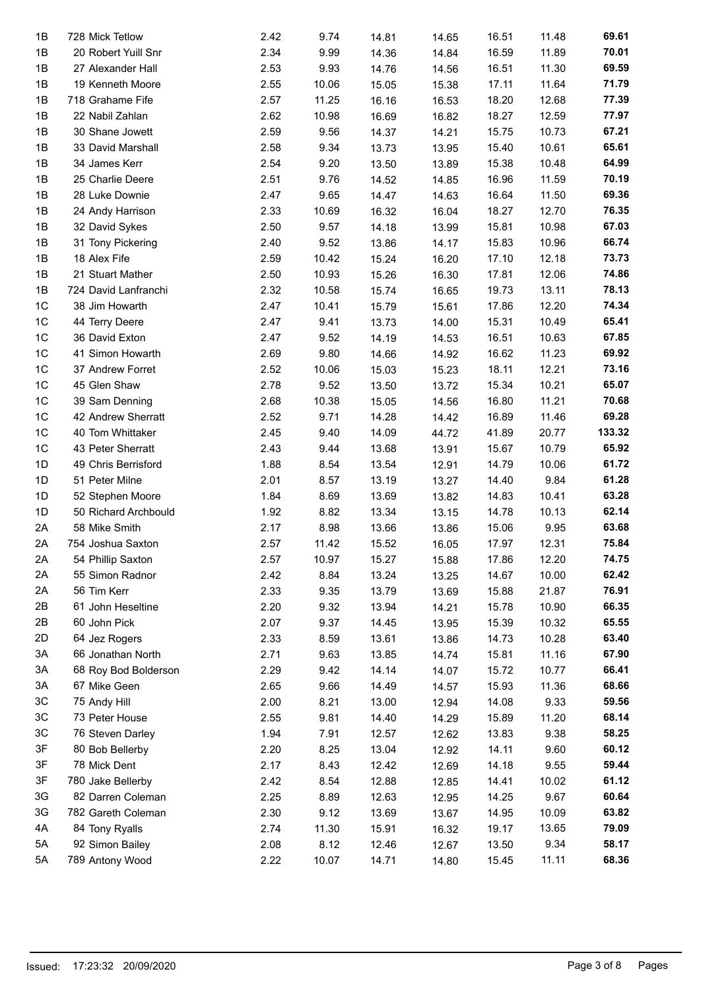| 1B             | 728 Mick Tetlow      | 2.42 | 9.74  | 14.81 | 14.65 | 16.51 | 11.48 | 69.61  |
|----------------|----------------------|------|-------|-------|-------|-------|-------|--------|
| 1B             | 20 Robert Yuill Snr  | 2.34 | 9.99  | 14.36 | 14.84 | 16.59 | 11.89 | 70.01  |
| 1B             | 27 Alexander Hall    | 2.53 | 9.93  | 14.76 | 14.56 | 16.51 | 11.30 | 69.59  |
| 1B             | 19 Kenneth Moore     | 2.55 | 10.06 | 15.05 | 15.38 | 17.11 | 11.64 | 71.79  |
| 1B             | 718 Grahame Fife     | 2.57 | 11.25 | 16.16 | 16.53 | 18.20 | 12.68 | 77.39  |
| 1B             | 22 Nabil Zahlan      | 2.62 | 10.98 | 16.69 | 16.82 | 18.27 | 12.59 | 77.97  |
| 1B             | 30 Shane Jowett      | 2.59 | 9.56  | 14.37 | 14.21 | 15.75 | 10.73 | 67.21  |
| 1B             | 33 David Marshall    | 2.58 | 9.34  | 13.73 | 13.95 | 15.40 | 10.61 | 65.61  |
| 1B             | 34 James Kerr        | 2.54 | 9.20  | 13.50 | 13.89 | 15.38 | 10.48 | 64.99  |
| 1B             | 25 Charlie Deere     | 2.51 | 9.76  | 14.52 | 14.85 | 16.96 | 11.59 | 70.19  |
| 1B             | 28 Luke Downie       | 2.47 | 9.65  | 14.47 | 14.63 | 16.64 | 11.50 | 69.36  |
| 1B             | 24 Andy Harrison     | 2.33 | 10.69 | 16.32 | 16.04 | 18.27 | 12.70 | 76.35  |
| 1B             | 32 David Sykes       | 2.50 | 9.57  | 14.18 | 13.99 | 15.81 | 10.98 | 67.03  |
| 1B             | 31 Tony Pickering    | 2.40 | 9.52  | 13.86 | 14.17 | 15.83 | 10.96 | 66.74  |
|                | 18 Alex Fife         |      | 10.42 | 15.24 |       |       | 12.18 | 73.73  |
| 1B             |                      | 2.59 |       |       | 16.20 | 17.10 |       | 74.86  |
| 1B             | 21 Stuart Mather     | 2.50 | 10.93 | 15.26 | 16.30 | 17.81 | 12.06 |        |
| 1B             | 724 David Lanfranchi | 2.32 | 10.58 | 15.74 | 16.65 | 19.73 | 13.11 | 78.13  |
| 1 <sup>C</sup> | 38 Jim Howarth       | 2.47 | 10.41 | 15.79 | 15.61 | 17.86 | 12.20 | 74.34  |
| 1C             | 44 Terry Deere       | 2.47 | 9.41  | 13.73 | 14.00 | 15.31 | 10.49 | 65.41  |
| 1 <sup>C</sup> | 36 David Exton       | 2.47 | 9.52  | 14.19 | 14.53 | 16.51 | 10.63 | 67.85  |
| 1C             | 41 Simon Howarth     | 2.69 | 9.80  | 14.66 | 14.92 | 16.62 | 11.23 | 69.92  |
| 1 <sup>C</sup> | 37 Andrew Forret     | 2.52 | 10.06 | 15.03 | 15.23 | 18.11 | 12.21 | 73.16  |
| 1C             | 45 Glen Shaw         | 2.78 | 9.52  | 13.50 | 13.72 | 15.34 | 10.21 | 65.07  |
| 1 <sup>C</sup> | 39 Sam Denning       | 2.68 | 10.38 | 15.05 | 14.56 | 16.80 | 11.21 | 70.68  |
| 1C             | 42 Andrew Sherratt   | 2.52 | 9.71  | 14.28 | 14.42 | 16.89 | 11.46 | 69.28  |
| 1 <sup>C</sup> | 40 Tom Whittaker     | 2.45 | 9.40  | 14.09 | 44.72 | 41.89 | 20.77 | 133.32 |
| 1 <sup>C</sup> | 43 Peter Sherratt    | 2.43 | 9.44  | 13.68 | 13.91 | 15.67 | 10.79 | 65.92  |
| 1D             | 49 Chris Berrisford  | 1.88 | 8.54  | 13.54 | 12.91 | 14.79 | 10.06 | 61.72  |
| 1D             | 51 Peter Milne       | 2.01 | 8.57  | 13.19 | 13.27 | 14.40 | 9.84  | 61.28  |
| 1D             | 52 Stephen Moore     | 1.84 | 8.69  | 13.69 | 13.82 | 14.83 | 10.41 | 63.28  |
| 1D             | 50 Richard Archbould | 1.92 | 8.82  | 13.34 | 13.15 | 14.78 | 10.13 | 62.14  |
| 2A             | 58 Mike Smith        | 2.17 | 8.98  | 13.66 |       | 15.06 | 9.95  | 63.68  |
|                |                      | 2.57 |       |       | 13.86 |       |       | 75.84  |
| 2A             | 754 Joshua Saxton    |      | 11.42 | 15.52 | 16.05 | 17.97 | 12.31 |        |
| 2A             | 54 Phillip Saxton    | 2.57 | 10.97 | 15.27 | 15.88 | 17.86 | 12.20 | 74.75  |
| 2A             | 55 Simon Radnor      | 2.42 | 8.84  | 13.24 | 13.25 | 14.67 | 10.00 | 62.42  |
| 2A             | 56 Tim Kerr          | 2.33 | 9.35  | 13.79 | 13.69 | 15.88 | 21.87 | 76.91  |
| 2B             | 61 John Heseltine    | 2.20 | 9.32  | 13.94 | 14.21 | 15.78 | 10.90 | 66.35  |
| 2B             | 60 John Pick         | 2.07 | 9.37  | 14.45 | 13.95 | 15.39 | 10.32 | 65.55  |
| 2D             | 64 Jez Rogers        | 2.33 | 8.59  | 13.61 | 13.86 | 14.73 | 10.28 | 63.40  |
| 3A             | 66 Jonathan North    | 2.71 | 9.63  | 13.85 | 14.74 | 15.81 | 11.16 | 67.90  |
| 3A             | 68 Roy Bod Bolderson | 2.29 | 9.42  | 14.14 | 14.07 | 15.72 | 10.77 | 66.41  |
| 3A             | 67 Mike Geen         | 2.65 | 9.66  | 14.49 | 14.57 | 15.93 | 11.36 | 68.66  |
| 3C             | 75 Andy Hill         | 2.00 | 8.21  | 13.00 | 12.94 | 14.08 | 9.33  | 59.56  |
| 3C             | 73 Peter House       | 2.55 | 9.81  | 14.40 | 14.29 | 15.89 | 11.20 | 68.14  |
| 3C             | 76 Steven Darley     | 1.94 | 7.91  | 12.57 | 12.62 | 13.83 | 9.38  | 58.25  |
| 3F             | 80 Bob Bellerby      | 2.20 | 8.25  | 13.04 | 12.92 | 14.11 | 9.60  | 60.12  |
| 3F             | 78 Mick Dent         | 2.17 | 8.43  | 12.42 | 12.69 | 14.18 | 9.55  | 59.44  |
| 3F             | 780 Jake Bellerby    | 2.42 | 8.54  | 12.88 | 12.85 | 14.41 | 10.02 | 61.12  |
| 3G             | 82 Darren Coleman    | 2.25 | 8.89  | 12.63 | 12.95 | 14.25 | 9.67  | 60.64  |
| 3G             | 782 Gareth Coleman   | 2.30 | 9.12  |       |       | 14.95 | 10.09 | 63.82  |
|                |                      |      |       | 13.69 | 13.67 |       |       |        |
| 4A             | 84 Tony Ryalls       | 2.74 | 11.30 | 15.91 | 16.32 | 19.17 | 13.65 | 79.09  |
| 5A             | 92 Simon Bailey      | 2.08 | 8.12  | 12.46 | 12.67 | 13.50 | 9.34  | 58.17  |
| 5A             | 789 Antony Wood      | 2.22 | 10.07 | 14.71 | 14.80 | 15.45 | 11.11 | 68.36  |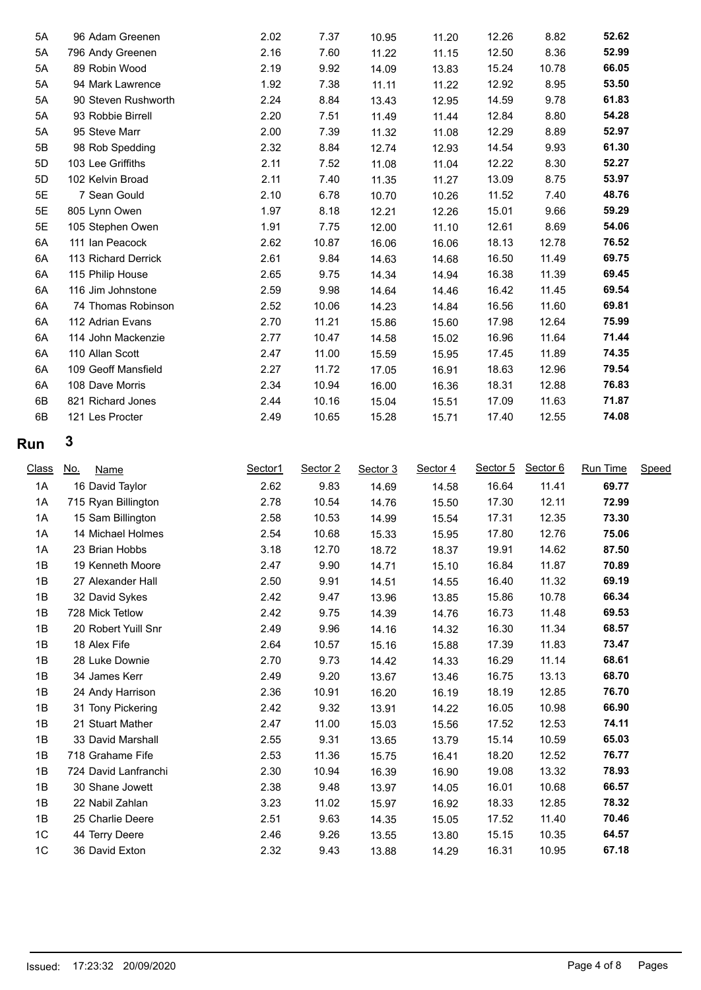| 5A           |                                  |              |              |                |                |                |                |                |       |
|--------------|----------------------------------|--------------|--------------|----------------|----------------|----------------|----------------|----------------|-------|
|              | 96 Adam Greenen                  | 2.02         | 7.37         | 10.95          | 11.20          | 12.26          | 8.82           | 52.62          |       |
| 5A           | 796 Andy Greenen                 | 2.16         | 7.60         | 11.22          | 11.15          | 12.50          | 8.36           | 52.99          |       |
| 5A           | 89 Robin Wood                    | 2.19         | 9.92         | 14.09          | 13.83          | 15.24          | 10.78          | 66.05          |       |
| 5A           | 94 Mark Lawrence                 | 1.92         | 7.38         | 11.11          | 11.22          | 12.92          | 8.95           | 53.50          |       |
| 5A           | 90 Steven Rushworth              | 2.24         | 8.84         | 13.43          | 12.95          | 14.59          | 9.78           | 61.83          |       |
| 5A           | 93 Robbie Birrell                | 2.20         | 7.51         | 11.49          | 11.44          | 12.84          | 8.80           | 54.28          |       |
| 5A           | 95 Steve Marr                    | 2.00         | 7.39         | 11.32          | 11.08          | 12.29          | 8.89           | 52.97          |       |
| 5B           | 98 Rob Spedding                  | 2.32         | 8.84         | 12.74          | 12.93          | 14.54          | 9.93           | 61.30          |       |
| 5D           | 103 Lee Griffiths                | 2.11         | 7.52         | 11.08          | 11.04          | 12.22          | 8.30           | 52.27          |       |
| 5D           | 102 Kelvin Broad                 | 2.11         | 7.40         | 11.35          | 11.27          | 13.09          | 8.75           | 53.97          |       |
| 5E           | 7 Sean Gould                     | 2.10         | 6.78         | 10.70          | 10.26          | 11.52          | 7.40           | 48.76          |       |
| 5E           | 805 Lynn Owen                    | 1.97         | 8.18         | 12.21          | 12.26          | 15.01          | 9.66           | 59.29          |       |
| 5E           | 105 Stephen Owen                 | 1.91         | 7.75         | 12.00          | 11.10          | 12.61          | 8.69           | 54.06          |       |
| 6A           | 111 Ian Peacock                  | 2.62         | 10.87        | 16.06          | 16.06          | 18.13          | 12.78          | 76.52          |       |
| 6A           | 113 Richard Derrick              | 2.61         | 9.84         | 14.63          | 14.68          | 16.50          | 11.49          | 69.75          |       |
| 6A           | 115 Philip House                 | 2.65         | 9.75         | 14.34          | 14.94          | 16.38          | 11.39          | 69.45          |       |
| 6A           | 116 Jim Johnstone                | 2.59         | 9.98         | 14.64          | 14.46          | 16.42          | 11.45          | 69.54          |       |
| 6A           | 74 Thomas Robinson               | 2.52         | 10.06        | 14.23          | 14.84          | 16.56          | 11.60          | 69.81          |       |
| 6A           | 112 Adrian Evans                 | 2.70         | 11.21        | 15.86          | 15.60          | 17.98          | 12.64          | 75.99          |       |
| 6A           | 114 John Mackenzie               | 2.77         | 10.47        | 14.58          | 15.02          | 16.96          | 11.64          | 71.44          |       |
| 6A           | 110 Allan Scott                  | 2.47         | 11.00        | 15.59          | 15.95          | 17.45          | 11.89          | 74.35          |       |
| 6A           | 109 Geoff Mansfield              | 2.27         | 11.72        | 17.05          | 16.91          | 18.63          | 12.96          | 79.54          |       |
| 6A           | 108 Dave Morris                  | 2.34         | 10.94        | 16.00          | 16.36          | 18.31          | 12.88          | 76.83          |       |
| 6B           | 821 Richard Jones                | 2.44         | 10.16        | 15.04          | 15.51          | 17.09          | 11.63          | 71.87          |       |
| 6B           | 121 Les Procter                  | 2.49         | 10.65        | 15.28          | 15.71          | 17.40          | 12.55          | 74.08          |       |
|              |                                  |              |              |                |                |                |                |                |       |
|              |                                  |              |              |                |                |                |                |                |       |
|              | 3                                |              |              |                |                |                |                |                |       |
|              |                                  |              |              |                |                | Sector 5       |                |                |       |
| <b>Class</b> | <u>No.</u><br><b>Name</b>        | Sector1      | Sector 2     | Sector 3       | Sector 4       |                | Sector 6       | Run Time       | Speed |
| 1A           | 16 David Taylor                  | 2.62         | 9.83         | 14.69          | 14.58          | 16.64          | 11.41          | 69.77          |       |
| 1A           | 715 Ryan Billington              | 2.78         | 10.54        | 14.76          | 15.50          | 17.30          | 12.11          | 72.99          |       |
| 1A           | 15 Sam Billington                | 2.58         | 10.53        | 14.99          | 15.54          | 17.31          | 12.35          | 73.30          |       |
| 1A           | 14 Michael Holmes                | 2.54         | 10.68        | 15.33          | 15.95          | 17.80          | 12.76          | 75.06          |       |
| 1A           | 23 Brian Hobbs                   | 3.18         | 12.70        | 18.72          | 18.37          | 19.91          | 14.62          | 87.50          |       |
| 1B           | 19 Kenneth Moore                 | 2.47         | 9.90         | 14.71          | 15.10          | 16.84          | 11.87          | 70.89          |       |
| 1B           | 27 Alexander Hall                | 2.50         | 9.91         | 14.51          | 14.55          | 16.40          | 11.32          | 69.19          |       |
| 1B           | 32 David Sykes                   | 2.42         | 9.47         | 13.96          | 13.85          | 15.86          | 10.78          | 66.34          |       |
| 1B           | 728 Mick Tetlow                  | 2.42         | 9.75         | 14.39          | 14.76          | 16.73          | 11.48          | 69.53          |       |
| 1B           | 20 Robert Yuill Snr              | 2.49         | 9.96         | 14.16          | 14.32          | 16.30          | 11.34          | 68.57          |       |
| 1B           | 18 Alex Fife                     | 2.64         | 10.57        | 15.16          | 15.88          | 17.39          | 11.83          | 73.47          |       |
| 1B           | 28 Luke Downie                   | 2.70         | 9.73         | 14.42          | 14.33          | 16.29          | 11.14          | 68.61          |       |
| 1B           | 34 James Kerr                    | 2.49         | 9.20         | 13.67          | 13.46          | 16.75          | 13.13          | 68.70          |       |
| 1B           | 24 Andy Harrison                 | 2.36         | 10.91        | 16.20          | 16.19          | 18.19          | 12.85          | 76.70          |       |
| 1B           | 31 Tony Pickering                | 2.42         | 9.32         | 13.91          | 14.22          | 16.05          | 10.98          | 66.90          |       |
| 1B           | 21 Stuart Mather                 | 2.47         | 11.00        | 15.03          | 15.56          | 17.52          | 12.53          | 74.11          |       |
| 1B           | 33 David Marshall                | 2.55         | 9.31         | 13.65          | 13.79          | 15.14          | 10.59          | 65.03          |       |
| 1B           | 718 Grahame Fife                 | 2.53         | 11.36        | 15.75          | 16.41          | 18.20          | 12.52          | 76.77          |       |
| 1B           | 724 David Lanfranchi             | 2.30         | 10.94        | 16.39          | 16.90          | 19.08          | 13.32          | 78.93          |       |
| 1B           | 30 Shane Jowett                  | 2.38         | 9.48         | 13.97          | 14.05          | 16.01          | 10.68          | 66.57          |       |
| Run<br>1B    | 22 Nabil Zahlan                  | 3.23         | 11.02        | 15.97          | 16.92          | 18.33          | 12.85          | 78.32          |       |
| 1B           | 25 Charlie Deere                 | 2.51         | 9.63         | 14.35          | 15.05          | 17.52          | 11.40          | 70.46          |       |
| $1C$<br>1C   | 44 Terry Deere<br>36 David Exton | 2.46<br>2.32 | 9.26<br>9.43 | 13.55<br>13.88 | 13.80<br>14.29 | 15.15<br>16.31 | 10.35<br>10.95 | 64.57<br>67.18 |       |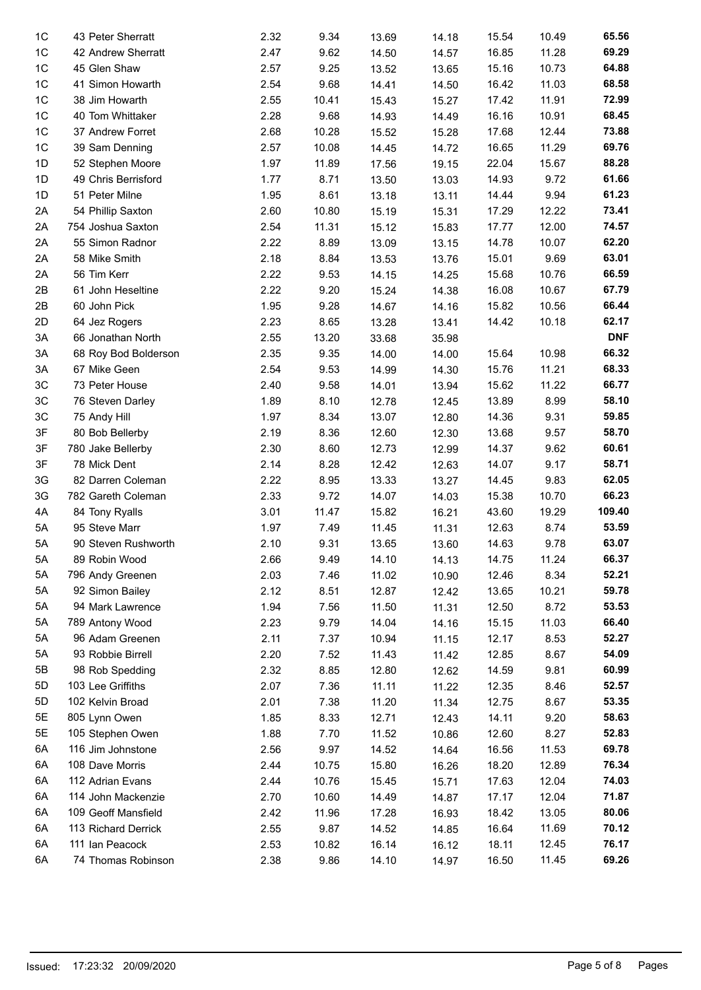| 1 <sup>C</sup> | 43 Peter Sherratt    | 2.32         | 9.34           | 13.69 | 14.18 | 15.54 | 10.49 | 65.56      |
|----------------|----------------------|--------------|----------------|-------|-------|-------|-------|------------|
| 1C             | 42 Andrew Sherratt   | 2.47         | 9.62           | 14.50 | 14.57 | 16.85 | 11.28 | 69.29      |
| 1 <sup>C</sup> | 45 Glen Shaw         | 2.57         | 9.25           | 13.52 | 13.65 | 15.16 | 10.73 | 64.88      |
| 1 <sup>C</sup> | 41 Simon Howarth     | 2.54         | 9.68           | 14.41 | 14.50 | 16.42 | 11.03 | 68.58      |
| 1 <sup>C</sup> | 38 Jim Howarth       | 2.55         | 10.41          | 15.43 | 15.27 | 17.42 | 11.91 | 72.99      |
| 1 <sup>C</sup> | 40 Tom Whittaker     | 2.28         | 9.68           | 14.93 | 14.49 | 16.16 | 10.91 | 68.45      |
| 1 <sup>C</sup> | 37 Andrew Forret     | 2.68         | 10.28          | 15.52 | 15.28 | 17.68 | 12.44 | 73.88      |
| 1 <sup>C</sup> | 39 Sam Denning       | 2.57         | 10.08          | 14.45 | 14.72 | 16.65 | 11.29 | 69.76      |
| 1D             | 52 Stephen Moore     | 1.97         | 11.89          | 17.56 | 19.15 | 22.04 | 15.67 | 88.28      |
| 1D             | 49 Chris Berrisford  | 1.77         | 8.71           | 13.50 | 13.03 | 14.93 | 9.72  | 61.66      |
| 1D             | 51 Peter Milne       | 1.95         | 8.61           | 13.18 | 13.11 | 14.44 | 9.94  | 61.23      |
| 2A             | 54 Phillip Saxton    | 2.60         | 10.80          | 15.19 | 15.31 | 17.29 | 12.22 | 73.41      |
| 2A             | 754 Joshua Saxton    | 2.54         | 11.31          | 15.12 | 15.83 | 17.77 | 12.00 | 74.57      |
| 2A             | 55 Simon Radnor      | 2.22         | 8.89           | 13.09 | 13.15 | 14.78 | 10.07 | 62.20      |
| 2A             | 58 Mike Smith        | 2.18         | 8.84           | 13.53 | 13.76 | 15.01 | 9.69  | 63.01      |
| 2A             | 56 Tim Kerr          | 2.22         | 9.53           | 14.15 | 14.25 | 15.68 | 10.76 | 66.59      |
| 2B             | 61 John Heseltine    | 2.22         | 9.20           | 15.24 | 14.38 | 16.08 | 10.67 | 67.79      |
| 2B             | 60 John Pick         | 1.95         | 9.28           | 14.67 | 14.16 | 15.82 | 10.56 | 66.44      |
| 2D             | 64 Jez Rogers        | 2.23         | 8.65           | 13.28 | 13.41 | 14.42 | 10.18 | 62.17      |
| 3A             | 66 Jonathan North    | 2.55         | 13.20          | 33.68 | 35.98 |       |       | <b>DNF</b> |
| 3A             | 68 Roy Bod Bolderson | 2.35         | 9.35           | 14.00 | 14.00 | 15.64 | 10.98 | 66.32      |
| 3A             | 67 Mike Geen         | 2.54         | 9.53           | 14.99 | 14.30 | 15.76 | 11.21 | 68.33      |
| 3C             | 73 Peter House       | 2.40         | 9.58           | 14.01 | 13.94 | 15.62 | 11.22 | 66.77      |
| 3C             | 76 Steven Darley     | 1.89         | 8.10           | 12.78 | 12.45 | 13.89 | 8.99  | 58.10      |
| 3C             | 75 Andy Hill         | 1.97         | 8.34           | 13.07 | 12.80 | 14.36 | 9.31  | 59.85      |
| 3F             | 80 Bob Bellerby      | 2.19         | 8.36           | 12.60 | 12.30 | 13.68 | 9.57  | 58.70      |
| 3F             | 780 Jake Bellerby    | 2.30         | 8.60           | 12.73 | 12.99 | 14.37 | 9.62  | 60.61      |
| 3F             | 78 Mick Dent         | 2.14         | 8.28           | 12.42 | 12.63 | 14.07 | 9.17  | 58.71      |
| 3G             | 82 Darren Coleman    | 2.22         | 8.95           | 13.33 | 13.27 | 14.45 | 9.83  | 62.05      |
| 3G             | 782 Gareth Coleman   | 2.33         | 9.72           | 14.07 | 14.03 | 15.38 | 10.70 | 66.23      |
| 4A             | 84 Tony Ryalls       | 3.01         | 11.47          | 15.82 | 16.21 | 43.60 | 19.29 | 109.40     |
| 5A             | 95 Steve Marr        | 1.97         | 7.49           | 11.45 | 11.31 | 12.63 | 8.74  | 53.59      |
| 5A             | 90 Steven Rushworth  | 2.10         | 9.31           | 13.65 | 13.60 | 14.63 | 9.78  | 63.07      |
| 5A             | 89 Robin Wood        | 2.66         | 9.49           | 14.10 | 14.13 | 14.75 | 11.24 | 66.37      |
| 5A             | 796 Andy Greenen     | 2.03         | 7.46           | 11.02 | 10.90 | 12.46 | 8.34  | 52.21      |
| 5A             | 92 Simon Bailey      | 2.12         | 8.51           | 12.87 | 12.42 | 13.65 | 10.21 | 59.78      |
| 5A             | 94 Mark Lawrence     | 1.94         | 7.56           | 11.50 | 11.31 | 12.50 | 8.72  | 53.53      |
| 5A             | 789 Antony Wood      | 2.23         | 9.79           | 14.04 | 14.16 | 15.15 | 11.03 | 66.40      |
| 5A             | 96 Adam Greenen      | 2.11         | 7.37           | 10.94 | 11.15 | 12.17 | 8.53  | 52.27      |
| 5A             | 93 Robbie Birrell    | 2.20         | 7.52           | 11.43 | 11.42 | 12.85 | 8.67  | 54.09      |
| 5B             | 98 Rob Spedding      | 2.32         | 8.85           | 12.80 | 12.62 | 14.59 | 9.81  | 60.99      |
| 5D             | 103 Lee Griffiths    | 2.07         | 7.36           | 11.11 | 11.22 | 12.35 | 8.46  | 52.57      |
| 5D             | 102 Kelvin Broad     | 2.01         | 7.38           | 11.20 | 11.34 | 12.75 | 8.67  | 53.35      |
| 5E             | 805 Lynn Owen        | 1.85         | 8.33           | 12.71 | 12.43 | 14.11 | 9.20  | 58.63      |
| 5E             | 105 Stephen Owen     | 1.88         | 7.70           | 11.52 | 10.86 | 12.60 | 8.27  | 52.83      |
| 6A             | 116 Jim Johnstone    | 2.56         | 9.97           | 14.52 |       | 16.56 | 11.53 | 69.78      |
|                | 108 Dave Morris      |              |                |       | 14.64 |       | 12.89 | 76.34      |
| 6A             | 112 Adrian Evans     | 2.44<br>2.44 | 10.75<br>10.76 | 15.80 | 16.26 | 18.20 | 12.04 | 74.03      |
| 6A             |                      |              |                | 15.45 | 15.71 | 17.63 |       | 71.87      |
| 6A             | 114 John Mackenzie   | 2.70         | 10.60          | 14.49 | 14.87 | 17.17 | 12.04 |            |
| 6A             | 109 Geoff Mansfield  | 2.42         | 11.96          | 17.28 | 16.93 | 18.42 | 13.05 | 80.06      |
| 6A             | 113 Richard Derrick  | 2.55         | 9.87           | 14.52 | 14.85 | 16.64 | 11.69 | 70.12      |
| 6A             | 111 Ian Peacock      | 2.53         | 10.82          | 16.14 | 16.12 | 18.11 | 12.45 | 76.17      |
| 6A             | 74 Thomas Robinson   | 2.38         | 9.86           | 14.10 | 14.97 | 16.50 | 11.45 | 69.26      |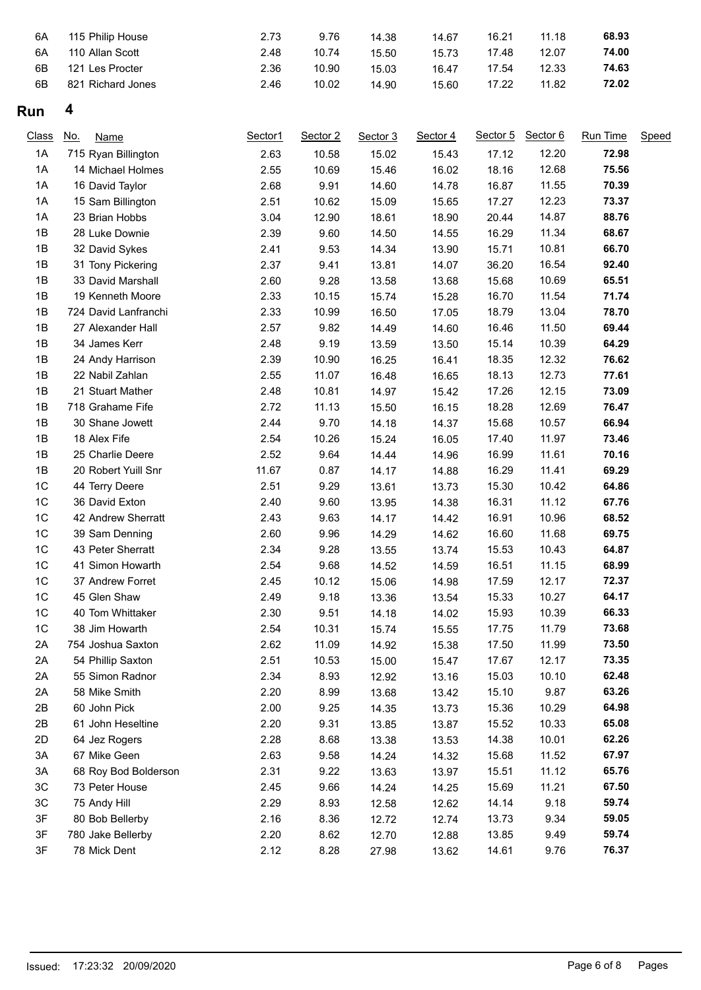| 6A<br>6A | 115 Philip House<br>110 Allan Scott | 2.73<br>2.48 | 9.76<br>10.74 | 14.38<br>15.50 | 14.67<br>15.73 | 16.21<br>17.48 | 11.18<br>12.07 | 68.93<br>74.00 |
|----------|-------------------------------------|--------------|---------------|----------------|----------------|----------------|----------------|----------------|
| 6B       | 121 Les Procter                     | 2.36         | 10.90         | 15.03          | 16.47          | 17.54          | 12.33          | 74.63          |
| 6B       | 821 Richard Jones                   | 2.46         | 10.02         | 14.90          | 15.60          | 17.22          | 11.82          | 72.02          |

## **Run 4**

| <b>Class</b>  | <u>No.</u><br><b>Name</b> | Sector1 | Sector 2 | Sector 3 | Sector 4 | Sector 5 | Sector 6 | Run Time | Speed |
|---------------|---------------------------|---------|----------|----------|----------|----------|----------|----------|-------|
| 1A            | 715 Ryan Billington       | 2.63    | 10.58    | 15.02    | 15.43    | 17.12    | 12.20    | 72.98    |       |
| 1A            | 14 Michael Holmes         | 2.55    | 10.69    | 15.46    | 16.02    | 18.16    | 12.68    | 75.56    |       |
| 1A            | 16 David Taylor           | 2.68    | 9.91     | 14.60    | 14.78    | 16.87    | 11.55    | 70.39    |       |
| $1A$          | 15 Sam Billington         | 2.51    | 10.62    | 15.09    | 15.65    | 17.27    | 12.23    | 73.37    |       |
| 1A            | 23 Brian Hobbs            | 3.04    | 12.90    | 18.61    | 18.90    | 20.44    | 14.87    | 88.76    |       |
| 1B            | 28 Luke Downie            | 2.39    | 9.60     | 14.50    | 14.55    | 16.29    | 11.34    | 68.67    |       |
| 1B            | 32 David Sykes            | 2.41    | 9.53     | 14.34    | 13.90    | 15.71    | 10.81    | 66.70    |       |
| 1B            | 31 Tony Pickering         | 2.37    | 9.41     | 13.81    | 14.07    | 36.20    | 16.54    | 92.40    |       |
| 1B            | 33 David Marshall         | 2.60    | 9.28     | 13.58    | 13.68    | 15.68    | 10.69    | 65.51    |       |
| 1B            | 19 Kenneth Moore          | 2.33    | 10.15    | 15.74    | 15.28    | 16.70    | 11.54    | 71.74    |       |
| 1B            | 724 David Lanfranchi      | 2.33    | 10.99    | 16.50    | 17.05    | 18.79    | 13.04    | 78.70    |       |
| 1B            | 27 Alexander Hall         | 2.57    | 9.82     | 14.49    | 14.60    | 16.46    | 11.50    | 69.44    |       |
| 1B            | 34 James Kerr             | 2.48    | 9.19     | 13.59    | 13.50    | 15.14    | 10.39    | 64.29    |       |
| 1B            | 24 Andy Harrison          | 2.39    | 10.90    | 16.25    | 16.41    | 18.35    | 12.32    | 76.62    |       |
| 1B            | 22 Nabil Zahlan           | 2.55    | 11.07    | 16.48    | 16.65    | 18.13    | 12.73    | 77.61    |       |
| 1B            | 21 Stuart Mather          | 2.48    | 10.81    | 14.97    | 15.42    | 17.26    | 12.15    | 73.09    |       |
| 1B            | 718 Grahame Fife          | 2.72    | 11.13    | 15.50    | 16.15    | 18.28    | 12.69    | 76.47    |       |
| 1B            | 30 Shane Jowett           | 2.44    | 9.70     | 14.18    | 14.37    | 15.68    | 10.57    | 66.94    |       |
| 1B            | 18 Alex Fife              | 2.54    | 10.26    | 15.24    | 16.05    | 17.40    | 11.97    | 73.46    |       |
| 1B            | 25 Charlie Deere          | 2.52    | 9.64     | 14.44    | 14.96    | 16.99    | 11.61    | 70.16    |       |
| 1B            | 20 Robert Yuill Snr       | 11.67   | 0.87     | 14.17    | 14.88    | 16.29    | 11.41    | 69.29    |       |
| 1C            | 44 Terry Deere            | 2.51    | 9.29     | 13.61    | 13.73    | 15.30    | 10.42    | 64.86    |       |
| 1C            | 36 David Exton            | 2.40    | 9.60     | 13.95    | 14.38    | 16.31    | 11.12    | 67.76    |       |
| 1C            | 42 Andrew Sherratt        | 2.43    | 9.63     | 14.17    | 14.42    | 16.91    | 10.96    | 68.52    |       |
| 1C            | 39 Sam Denning            | 2.60    | 9.96     | 14.29    | 14.62    | 16.60    | 11.68    | 69.75    |       |
| 1C            | 43 Peter Sherratt         | 2.34    | 9.28     | 13.55    | 13.74    | 15.53    | 10.43    | 64.87    |       |
| 1C            | 41 Simon Howarth          | 2.54    | 9.68     | 14.52    | 14.59    | 16.51    | 11.15    | 68.99    |       |
| 1C            | 37 Andrew Forret          | 2.45    | 10.12    | 15.06    | 14.98    | 17.59    | 12.17    | 72.37    |       |
| 1C            | 45 Glen Shaw              | 2.49    | 9.18     | 13.36    | 13.54    | 15.33    | 10.27    | 64.17    |       |
| 1C            | 40 Tom Whittaker          | 2.30    | 9.51     | 14.18    | 14.02    | 15.93    | 10.39    | 66.33    |       |
| 1C            | 38 Jim Howarth            | 2.54    | 10.31    | 15.74    | 15.55    | 17.75    | 11.79    | 73.68    |       |
| 2A            | 754 Joshua Saxton         | 2.62    | 11.09    | 14.92    | 15.38    | 17.50    | 11.99    | 73.50    |       |
| 2A            | 54 Phillip Saxton         | 2.51    | 10.53    | 15.00    | 15.47    | 17.67    | 12.17    | 73.35    |       |
| 2A            | 55 Simon Radnor           | 2.34    | 8.93     | 12.92    | 13.16    | 15.03    | 10.10    | 62.48    |       |
| 2A            | 58 Mike Smith             | 2.20    | 8.99     | 13.68    | 13.42    | 15.10    | 9.87     | 63.26    |       |
| 2B            | 60 John Pick              | 2.00    | 9.25     | 14.35    | 13.73    | 15.36    | 10.29    | 64.98    |       |
| 2B            | 61 John Heseltine         | 2.20    | 9.31     | 13.85    | 13.87    | 15.52    | 10.33    | 65.08    |       |
| 2D            | 64 Jez Rogers             | 2.28    | 8.68     | 13.38    | 13.53    | 14.38    | 10.01    | 62.26    |       |
| 3A            | 67 Mike Geen              | 2.63    | 9.58     | 14.24    | 14.32    | 15.68    | 11.52    | 67.97    |       |
| 3A            | 68 Roy Bod Bolderson      | 2.31    | 9.22     | 13.63    | 13.97    | 15.51    | 11.12    | 65.76    |       |
| $3\mathrm{C}$ | 73 Peter House            | 2.45    | 9.66     | 14.24    | 14.25    | 15.69    | 11.21    | 67.50    |       |
| $3\mathrm{C}$ | 75 Andy Hill              | 2.29    | 8.93     | 12.58    | 12.62    | 14.14    | 9.18     | 59.74    |       |
| 3F            | 80 Bob Bellerby           | 2.16    | 8.36     | 12.72    | 12.74    | 13.73    | 9.34     | 59.05    |       |
| 3F            | 780 Jake Bellerby         | 2.20    | 8.62     | 12.70    | 12.88    | 13.85    | 9.49     | 59.74    |       |
| 3F            | 78 Mick Dent              | 2.12    | 8.28     | 27.98    | 13.62    | 14.61    | 9.76     | 76.37    |       |
|               |                           |         |          |          |          |          |          |          |       |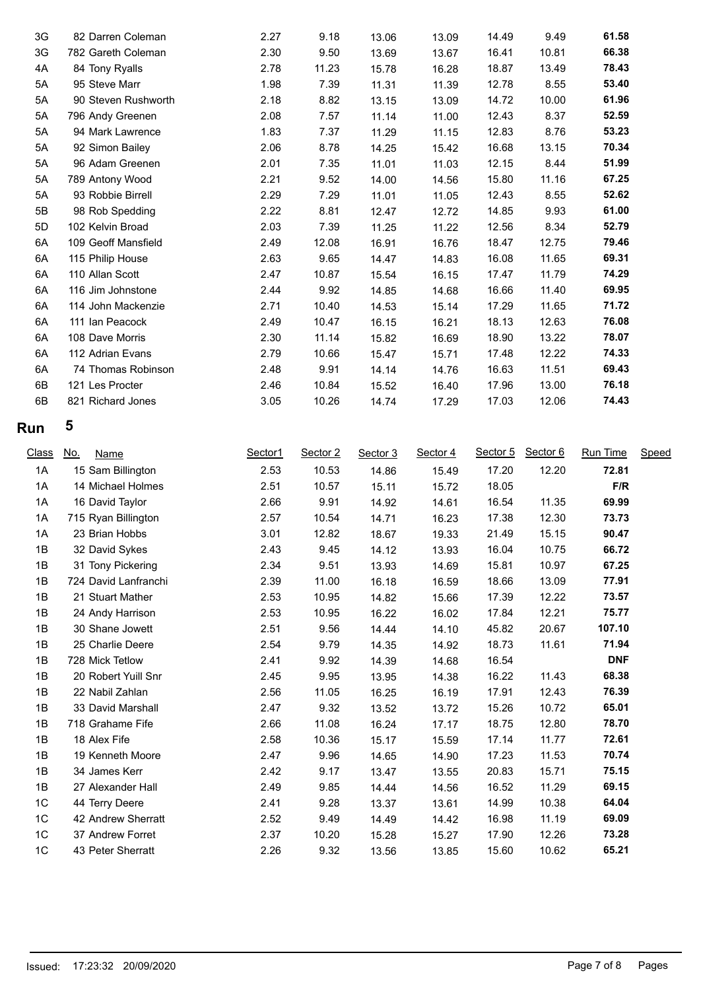| 3G | 82 Darren Coleman   | 2.27 | 9.18  | 13.06 | 13.09 | 14.49 | 9.49  | 61.58 |
|----|---------------------|------|-------|-------|-------|-------|-------|-------|
| 3G | 782 Gareth Coleman  | 2.30 | 9.50  | 13.69 | 13.67 | 16.41 | 10.81 | 66.38 |
| 4A | 84 Tony Ryalls      | 2.78 | 11.23 | 15.78 | 16.28 | 18.87 | 13.49 | 78.43 |
| 5A | 95 Steve Marr       | 1.98 | 7.39  | 11.31 | 11.39 | 12.78 | 8.55  | 53.40 |
| 5A | 90 Steven Rushworth | 2.18 | 8.82  | 13.15 | 13.09 | 14.72 | 10.00 | 61.96 |
| 5A | 796 Andy Greenen    | 2.08 | 7.57  | 11.14 | 11.00 | 12.43 | 8.37  | 52.59 |
| 5A | 94 Mark Lawrence    | 1.83 | 7.37  | 11.29 | 11.15 | 12.83 | 8.76  | 53.23 |
| 5A | 92 Simon Bailey     | 2.06 | 8.78  | 14.25 | 15.42 | 16.68 | 13.15 | 70.34 |
| 5A | 96 Adam Greenen     | 2.01 | 7.35  | 11.01 | 11.03 | 12.15 | 8.44  | 51.99 |
| 5A | 789 Antony Wood     | 2.21 | 9.52  | 14.00 | 14.56 | 15.80 | 11.16 | 67.25 |
| 5A | 93 Robbie Birrell   | 2.29 | 7.29  | 11.01 | 11.05 | 12.43 | 8.55  | 52.62 |
| 5B | 98 Rob Spedding     | 2.22 | 8.81  | 12.47 | 12.72 | 14.85 | 9.93  | 61.00 |
| 5D | 102 Kelvin Broad    | 2.03 | 7.39  | 11.25 | 11.22 | 12.56 | 8.34  | 52.79 |
| 6A | 109 Geoff Mansfield | 2.49 | 12.08 | 16.91 | 16.76 | 18.47 | 12.75 | 79.46 |
| 6A | 115 Philip House    | 2.63 | 9.65  | 14.47 | 14.83 | 16.08 | 11.65 | 69.31 |
| 6A | 110 Allan Scott     | 2.47 | 10.87 | 15.54 | 16.15 | 17.47 | 11.79 | 74.29 |
| 6A | 116 Jim Johnstone   | 2.44 | 9.92  | 14.85 | 14.68 | 16.66 | 11.40 | 69.95 |
| 6A | 114 John Mackenzie  | 2.71 | 10.40 | 14.53 | 15.14 | 17.29 | 11.65 | 71.72 |
| 6A | 111 Ian Peacock     | 2.49 | 10.47 | 16.15 | 16.21 | 18.13 | 12.63 | 76.08 |
| 6A | 108 Dave Morris     | 2.30 | 11.14 | 15.82 | 16.69 | 18.90 | 13.22 | 78.07 |
| 6A | 112 Adrian Evans    | 2.79 | 10.66 | 15.47 | 15.71 | 17.48 | 12.22 | 74.33 |
| 6A | 74 Thomas Robinson  | 2.48 | 9.91  | 14.14 | 14.76 | 16.63 | 11.51 | 69.43 |
| 6B | 121 Les Procter     | 2.46 | 10.84 | 15.52 | 16.40 | 17.96 | 13.00 | 76.18 |
| 6B | 821 Richard Jones   | 3.05 | 10.26 | 14.74 | 17.29 | 17.03 | 12.06 | 74.43 |
|    |                     |      |       |       |       |       |       |       |

# **Run 5**

| Class | <u>No.</u><br>Name   | Sector1 | Sector 2 | Sector 3 | Sector 4 | Sector 5 | Sector 6 | Run Time   | Speed |
|-------|----------------------|---------|----------|----------|----------|----------|----------|------------|-------|
| 1A    | 15 Sam Billington    | 2.53    | 10.53    | 14.86    | 15.49    | 17.20    | 12.20    | 72.81      |       |
| 1A    | 14 Michael Holmes    | 2.51    | 10.57    | 15.11    | 15.72    | 18.05    |          | F/R        |       |
| 1A    | 16 David Taylor      | 2.66    | 9.91     | 14.92    | 14.61    | 16.54    | 11.35    | 69.99      |       |
| 1A    | 715 Ryan Billington  | 2.57    | 10.54    | 14.71    | 16.23    | 17.38    | 12.30    | 73.73      |       |
| 1A    | 23 Brian Hobbs       | 3.01    | 12.82    | 18.67    | 19.33    | 21.49    | 15.15    | 90.47      |       |
| 1B    | 32 David Sykes       | 2.43    | 9.45     | 14.12    | 13.93    | 16.04    | 10.75    | 66.72      |       |
| 1B    | 31 Tony Pickering    | 2.34    | 9.51     | 13.93    | 14.69    | 15.81    | 10.97    | 67.25      |       |
| 1B    | 724 David Lanfranchi | 2.39    | 11.00    | 16.18    | 16.59    | 18.66    | 13.09    | 77.91      |       |
| 1B    | 21 Stuart Mather     | 2.53    | 10.95    | 14.82    | 15.66    | 17.39    | 12.22    | 73.57      |       |
| 1B    | 24 Andy Harrison     | 2.53    | 10.95    | 16.22    | 16.02    | 17.84    | 12.21    | 75.77      |       |
| 1B    | 30 Shane Jowett      | 2.51    | 9.56     | 14.44    | 14.10    | 45.82    | 20.67    | 107.10     |       |
| 1B    | 25 Charlie Deere     | 2.54    | 9.79     | 14.35    | 14.92    | 18.73    | 11.61    | 71.94      |       |
| 1B    | 728 Mick Tetlow      | 2.41    | 9.92     | 14.39    | 14.68    | 16.54    |          | <b>DNF</b> |       |
| 1B    | 20 Robert Yuill Snr  | 2.45    | 9.95     | 13.95    | 14.38    | 16.22    | 11.43    | 68.38      |       |
| 1B    | 22 Nabil Zahlan      | 2.56    | 11.05    | 16.25    | 16.19    | 17.91    | 12.43    | 76.39      |       |
| 1B    | 33 David Marshall    | 2.47    | 9.32     | 13.52    | 13.72    | 15.26    | 10.72    | 65.01      |       |
| 1B    | 718 Grahame Fife     | 2.66    | 11.08    | 16.24    | 17.17    | 18.75    | 12.80    | 78.70      |       |
| 1B    | 18 Alex Fife         | 2.58    | 10.36    | 15.17    | 15.59    | 17.14    | 11.77    | 72.61      |       |
| 1B    | 19 Kenneth Moore     | 2.47    | 9.96     | 14.65    | 14.90    | 17.23    | 11.53    | 70.74      |       |
| 1B    | 34 James Kerr        | 2.42    | 9.17     | 13.47    | 13.55    | 20.83    | 15.71    | 75.15      |       |
| 1B    | 27 Alexander Hall    | 2.49    | 9.85     | 14.44    | 14.56    | 16.52    | 11.29    | 69.15      |       |
| 1C    | 44 Terry Deere       | 2.41    | 9.28     | 13.37    | 13.61    | 14.99    | 10.38    | 64.04      |       |
| 1C    | 42 Andrew Sherratt   | 2.52    | 9.49     | 14.49    | 14.42    | 16.98    | 11.19    | 69.09      |       |
| 1C    | 37 Andrew Forret     | 2.37    | 10.20    | 15.28    | 15.27    | 17.90    | 12.26    | 73.28      |       |
| 1C    | 43 Peter Sherratt    | 2.26    | 9.32     | 13.56    | 13.85    | 15.60    | 10.62    | 65.21      |       |
|       |                      |         |          |          |          |          |          |            |       |